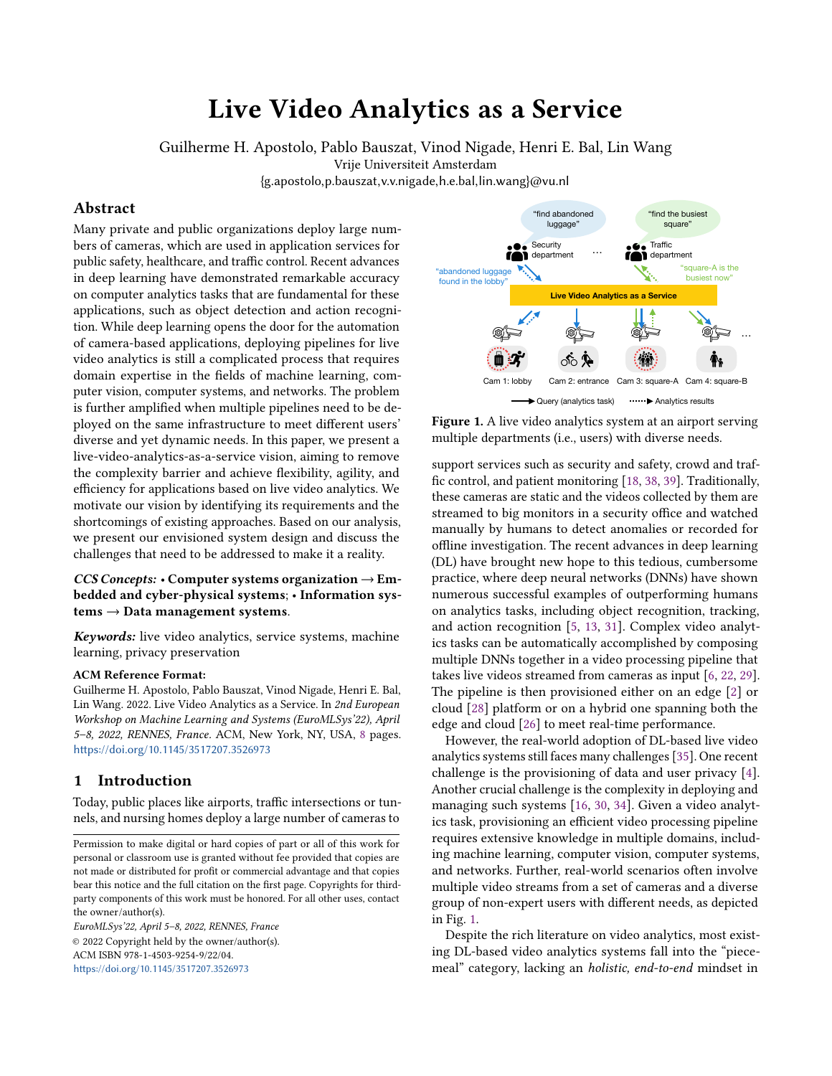# Live Video Analytics as a Service

Guilherme H. Apostolo, Pablo Bauszat, Vinod Nigade, Henri E. Bal, Lin Wang

<span id="page-0-0"></span>Vrije Universiteit Amsterdam

{g.apostolo,p.bauszat,v.v.nigade,h.e.bal,lin.wang}@vu.nl

### Abstract

Many private and public organizations deploy large numbers of cameras, which are used in application services for public safety, healthcare, and traffic control. Recent advances in deep learning have demonstrated remarkable accuracy on computer analytics tasks that are fundamental for these applications, such as object detection and action recognition. While deep learning opens the door for the automation of camera-based applications, deploying pipelines for live video analytics is still a complicated process that requires domain expertise in the fields of machine learning, computer vision, computer systems, and networks. The problem is further amplified when multiple pipelines need to be deployed on the same infrastructure to meet different users' diverse and yet dynamic needs. In this paper, we present a live-video-analytics-as-a-service vision, aiming to remove the complexity barrier and achieve flexibility, agility, and efficiency for applications based on live video analytics. We motivate our vision by identifying its requirements and the shortcomings of existing approaches. Based on our analysis, we present our envisioned system design and discuss the challenges that need to be addressed to make it a reality.

CCS Concepts: • Computer systems organization  $\rightarrow$  Embedded and cyber-physical systems; • Information sys $tems \rightarrow Data management systems.$ 

Keywords: live video analytics, service systems, machine learning, privacy preservation

### ACM Reference Format:

Guilherme H. Apostolo, Pablo Bauszat, Vinod Nigade, Henri E. Bal, Lin Wang. 2022. Live Video Analytics as a Service. In 2nd European Workshop on Machine Learning and Systems (EuroMLSys'22), April 5–8, 2022, RENNES, France. ACM, New York, NY, USA, [8](#page-7-0) pages. <https://doi.org/10.1145/3517207.3526973>

# 1 Introduction

Today, public places like airports, traffic intersections or tunnels, and nursing homes deploy a large number of cameras to

EuroMLSys'22, April 5–8, 2022, RENNES, France © 2022 Copyright held by the owner/author(s). ACM ISBN 978-1-4503-9254-9/22/04. <https://doi.org/10.1145/3517207.3526973>



Figure 1. A live video analytics system at an airport serving multiple departments (i.e., users) with diverse needs.

support services such as security and safety, crowd and traffic control, and patient monitoring [\[18,](#page-6-0) [38,](#page-7-1) [39\]](#page-7-2). Traditionally, these cameras are static and the videos collected by them are streamed to big monitors in a security office and watched manually by humans to detect anomalies or recorded for offline investigation. The recent advances in deep learning (DL) have brought new hope to this tedious, cumbersome practice, where deep neural networks (DNNs) have shown numerous successful examples of outperforming humans on analytics tasks, including object recognition, tracking, and action recognition [\[5,](#page-6-1) [13,](#page-6-2) [31\]](#page-7-3). Complex video analytics tasks can be automatically accomplished by composing multiple DNNs together in a video processing pipeline that takes live videos streamed from cameras as input [\[6,](#page-6-3) [22,](#page-6-4) [29\]](#page-6-5). The pipeline is then provisioned either on an edge [\[2\]](#page-6-6) or cloud [\[28\]](#page-6-7) platform or on a hybrid one spanning both the edge and cloud [\[26\]](#page-6-8) to meet real-time performance.

However, the real-world adoption of DL-based live video analytics systems still faces many challenges [\[35\]](#page-7-4). One recent challenge is the provisioning of data and user privacy [\[4\]](#page-6-9). Another crucial challenge is the complexity in deploying and managing such systems [\[16,](#page-6-10) [30,](#page-6-11) [34\]](#page-7-5). Given a video analytics task, provisioning an efficient video processing pipeline requires extensive knowledge in multiple domains, including machine learning, computer vision, computer systems, and networks. Further, real-world scenarios often involve multiple video streams from a set of cameras and a diverse group of non-expert users with different needs, as depicted in Fig. [1.](#page-0-0)

Despite the rich literature on video analytics, most existing DL-based video analytics systems fall into the "piecemeal" category, lacking an holistic, end-to-end mindset in

Permission to make digital or hard copies of part or all of this work for personal or classroom use is granted without fee provided that copies are not made or distributed for profit or commercial advantage and that copies bear this notice and the full citation on the first page. Copyrights for thirdparty components of this work must be honored. For all other uses, contact the owner/author(s).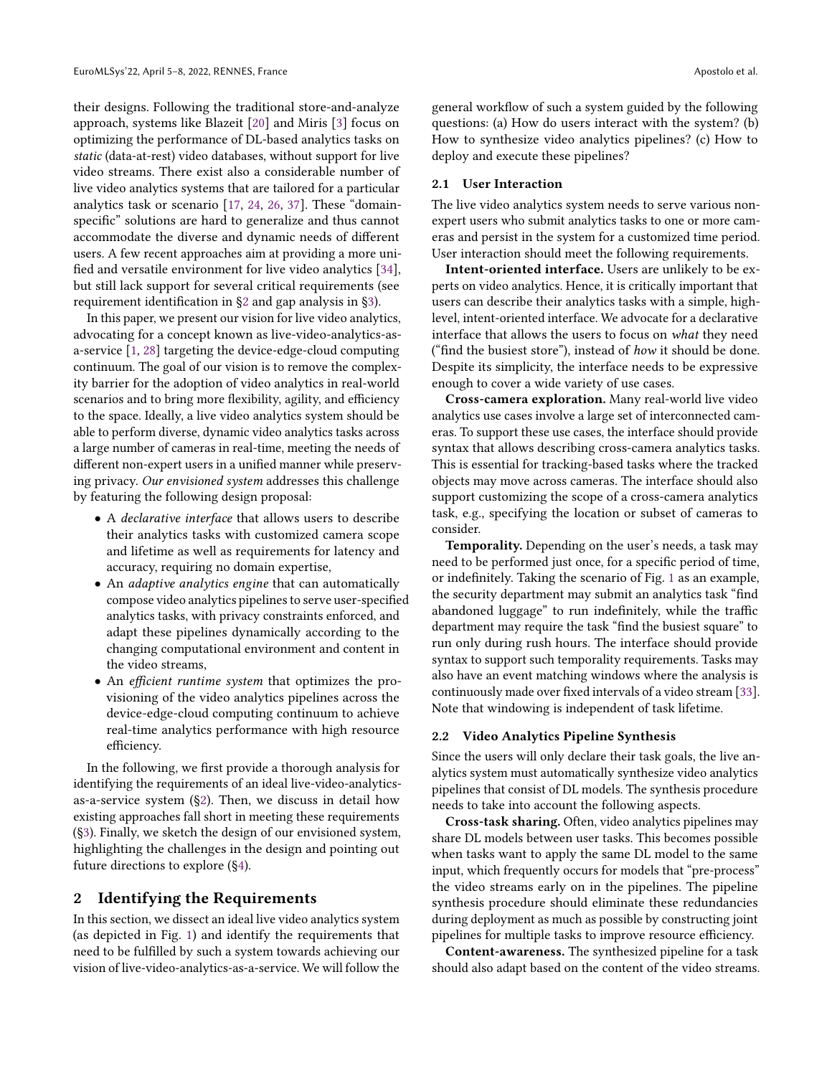their designs. Following the traditional store-and-analyze approach, systems like Blazeit [\[20\]](#page-6-12) and Miris [\[3\]](#page-6-13) focus on optimizing the performance of DL-based analytics tasks on static (data-at-rest) video databases, without support for live video streams. There exist also a considerable number of live video analytics systems that are tailored for a particular analytics task or scenario [\[17,](#page-6-14) [24,](#page-6-15) [26,](#page-6-8) [37\]](#page-7-6). These "domainspecific" solutions are hard to generalize and thus cannot accommodate the diverse and dynamic needs of different users. A few recent approaches aim at providing a more unified and versatile environment for live video analytics [\[34\]](#page-7-5), but still lack support for several critical requirements (see requirement identification in [§2](#page-1-0) and gap analysis in [§3\)](#page-2-0).

In this paper, we present our vision for live video analytics, advocating for a concept known as live-video-analytics-asa-service [\[1,](#page-6-16) [28\]](#page-6-7) targeting the device-edge-cloud computing continuum. The goal of our vision is to remove the complexity barrier for the adoption of video analytics in real-world scenarios and to bring more flexibility, agility, and efficiency to the space. Ideally, a live video analytics system should be able to perform diverse, dynamic video analytics tasks across a large number of cameras in real-time, meeting the needs of different non-expert users in a unified manner while preserving privacy. Our envisioned system addresses this challenge by featuring the following design proposal:

- A declarative interface that allows users to describe their analytics tasks with customized camera scope and lifetime as well as requirements for latency and accuracy, requiring no domain expertise,
- An *adaptive analytics engine* that can automatically compose video analytics pipelines to serve user-specified analytics tasks, with privacy constraints enforced, and adapt these pipelines dynamically according to the changing computational environment and content in the video streams,
- An efficient runtime system that optimizes the provisioning of the video analytics pipelines across the device-edge-cloud computing continuum to achieve real-time analytics performance with high resource efficiency.

In the following, we first provide a thorough analysis for identifying the requirements of an ideal live-video-analyticsas-a-service system ([§2\)](#page-1-0). Then, we discuss in detail how existing approaches fall short in meeting these requirements ([§3\)](#page-2-0). Finally, we sketch the design of our envisioned system, highlighting the challenges in the design and pointing out future directions to explore ([§4\)](#page-3-0).

# <span id="page-1-0"></span>2 Identifying the Requirements

In this section, we dissect an ideal live video analytics system (as depicted in Fig. [1\)](#page-0-0) and identify the requirements that need to be fulfilled by such a system towards achieving our vision of live-video-analytics-as-a-service. We will follow the

general workflow of such a system guided by the following questions: (a) How do users interact with the system? (b) How to synthesize video analytics pipelines? (c) How to deploy and execute these pipelines?

### 2.1 User Interaction

The live video analytics system needs to serve various nonexpert users who submit analytics tasks to one or more cameras and persist in the system for a customized time period. User interaction should meet the following requirements.

Intent-oriented interface. Users are unlikely to be experts on video analytics. Hence, it is critically important that users can describe their analytics tasks with a simple, highlevel, intent-oriented interface. We advocate for a declarative interface that allows the users to focus on what they need ("find the busiest store"), instead of how it should be done. Despite its simplicity, the interface needs to be expressive enough to cover a wide variety of use cases.

Cross-camera exploration. Many real-world live video analytics use cases involve a large set of interconnected cameras. To support these use cases, the interface should provide syntax that allows describing cross-camera analytics tasks. This is essential for tracking-based tasks where the tracked objects may move across cameras. The interface should also support customizing the scope of a cross-camera analytics task, e.g., specifying the location or subset of cameras to consider.

Temporality. Depending on the user's needs, a task may need to be performed just once, for a specific period of time, or indefinitely. Taking the scenario of Fig. [1](#page-0-0) as an example, the security department may submit an analytics task "find abandoned luggage" to run indefinitely, while the traffic department may require the task "find the busiest square" to run only during rush hours. The interface should provide syntax to support such temporality requirements. Tasks may also have an event matching windows where the analysis is continuously made over fixed intervals of a video stream [\[33\]](#page-7-7). Note that windowing is independent of task lifetime.

### <span id="page-1-1"></span>2.2 Video Analytics Pipeline Synthesis

Since the users will only declare their task goals, the live analytics system must automatically synthesize video analytics pipelines that consist of DL models. The synthesis procedure needs to take into account the following aspects.

Cross-task sharing. Often, video analytics pipelines may share DL models between user tasks. This becomes possible when tasks want to apply the same DL model to the same input, which frequently occurs for models that "pre-process" the video streams early on in the pipelines. The pipeline synthesis procedure should eliminate these redundancies during deployment as much as possible by constructing joint pipelines for multiple tasks to improve resource efficiency.

Content-awareness. The synthesized pipeline for a task should also adapt based on the content of the video streams.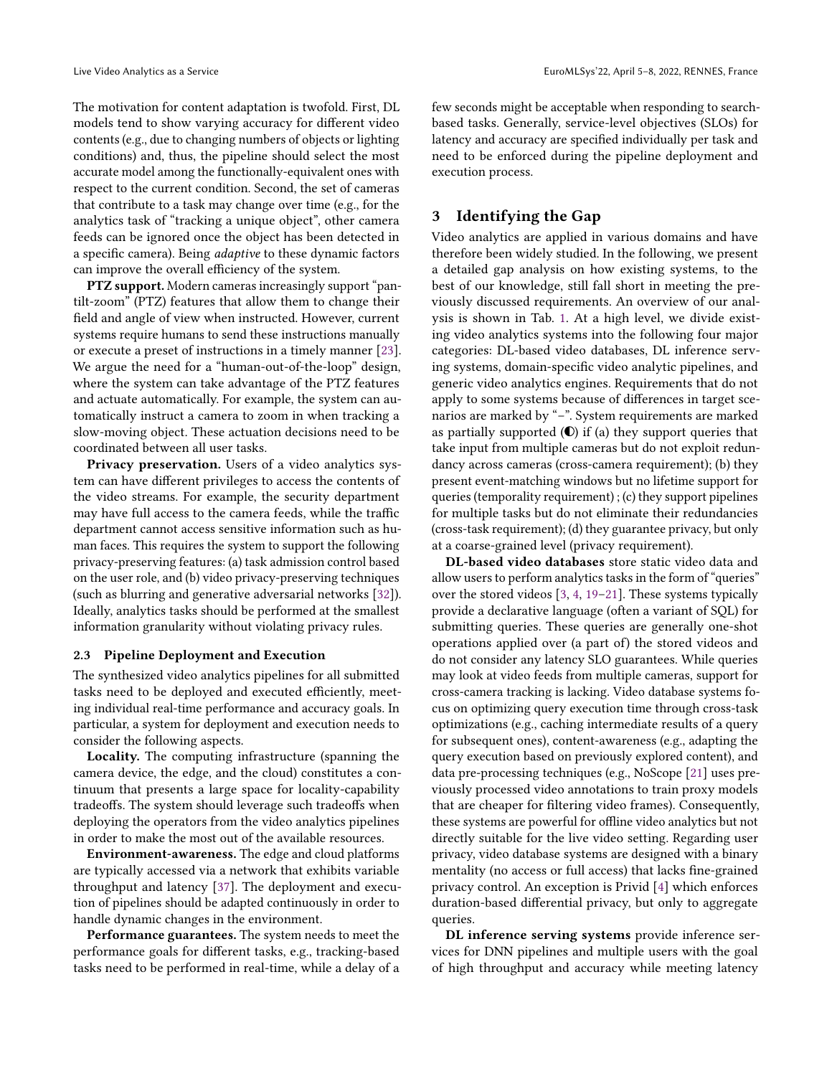The motivation for content adaptation is twofold. First, DL models tend to show varying accuracy for different video contents (e.g., due to changing numbers of objects or lighting conditions) and, thus, the pipeline should select the most accurate model among the functionally-equivalent ones with respect to the current condition. Second, the set of cameras that contribute to a task may change over time (e.g., for the analytics task of "tracking a unique object", other camera feeds can be ignored once the object has been detected in a specific camera). Being adaptive to these dynamic factors can improve the overall efficiency of the system.

PTZ support. Modern cameras increasingly support "pantilt-zoom" (PTZ) features that allow them to change their field and angle of view when instructed. However, current systems require humans to send these instructions manually or execute a preset of instructions in a timely manner [\[23\]](#page-6-17). We argue the need for a "human-out-of-the-loop" design, where the system can take advantage of the PTZ features and actuate automatically. For example, the system can automatically instruct a camera to zoom in when tracking a slow-moving object. These actuation decisions need to be coordinated between all user tasks.

Privacy preservation. Users of a video analytics system can have different privileges to access the contents of the video streams. For example, the security department may have full access to the camera feeds, while the traffic department cannot access sensitive information such as human faces. This requires the system to support the following privacy-preserving features: (a) task admission control based on the user role, and (b) video privacy-preserving techniques (such as blurring and generative adversarial networks [\[32\]](#page-7-8)). Ideally, analytics tasks should be performed at the smallest information granularity without violating privacy rules.

#### 2.3 Pipeline Deployment and Execution

The synthesized video analytics pipelines for all submitted tasks need to be deployed and executed efficiently, meeting individual real-time performance and accuracy goals. In particular, a system for deployment and execution needs to consider the following aspects.

Locality. The computing infrastructure (spanning the camera device, the edge, and the cloud) constitutes a continuum that presents a large space for locality-capability tradeoffs. The system should leverage such tradeoffs when deploying the operators from the video analytics pipelines in order to make the most out of the available resources.

Environment-awareness. The edge and cloud platforms are typically accessed via a network that exhibits variable throughput and latency [\[37\]](#page-7-6). The deployment and execution of pipelines should be adapted continuously in order to handle dynamic changes in the environment.

Performance guarantees. The system needs to meet the performance goals for different tasks, e.g., tracking-based tasks need to be performed in real-time, while a delay of a few seconds might be acceptable when responding to searchbased tasks. Generally, service-level objectives (SLOs) for latency and accuracy are specified individually per task and need to be enforced during the pipeline deployment and execution process.

# <span id="page-2-0"></span>3 Identifying the Gap

Video analytics are applied in various domains and have therefore been widely studied. In the following, we present a detailed gap analysis on how existing systems, to the best of our knowledge, still fall short in meeting the previously discussed requirements. An overview of our analysis is shown in Tab. [1.](#page-3-1) At a high level, we divide existing video analytics systems into the following four major categories: DL-based video databases, DL inference serving systems, domain-specific video analytic pipelines, and generic video analytics engines. Requirements that do not apply to some systems because of differences in target scenarios are marked by "–". System requirements are marked as partially supported  $($ **C** $)$  if (a) they support queries that take input from multiple cameras but do not exploit redundancy across cameras (cross-camera requirement); (b) they present event-matching windows but no lifetime support for queries (temporality requirement) ; (c) they support pipelines for multiple tasks but do not eliminate their redundancies (cross-task requirement); (d) they guarantee privacy, but only at a coarse-grained level (privacy requirement).

DL-based video databases store static video data and allow users to perform analytics tasks in the form of "queries" over the stored videos [\[3,](#page-6-13) [4,](#page-6-9) [19–](#page-6-18)[21\]](#page-6-19). These systems typically provide a declarative language (often a variant of SQL) for submitting queries. These queries are generally one-shot operations applied over (a part of) the stored videos and do not consider any latency SLO guarantees. While queries may look at video feeds from multiple cameras, support for cross-camera tracking is lacking. Video database systems focus on optimizing query execution time through cross-task optimizations (e.g., caching intermediate results of a query for subsequent ones), content-awareness (e.g., adapting the query execution based on previously explored content), and data pre-processing techniques (e.g., NoScope [\[21\]](#page-6-19) uses previously processed video annotations to train proxy models that are cheaper for filtering video frames). Consequently, these systems are powerful for offline video analytics but not directly suitable for the live video setting. Regarding user privacy, video database systems are designed with a binary mentality (no access or full access) that lacks fine-grained privacy control. An exception is Privid [\[4\]](#page-6-9) which enforces duration-based differential privacy, but only to aggregate queries.

DL inference serving systems provide inference services for DNN pipelines and multiple users with the goal of high throughput and accuracy while meeting latency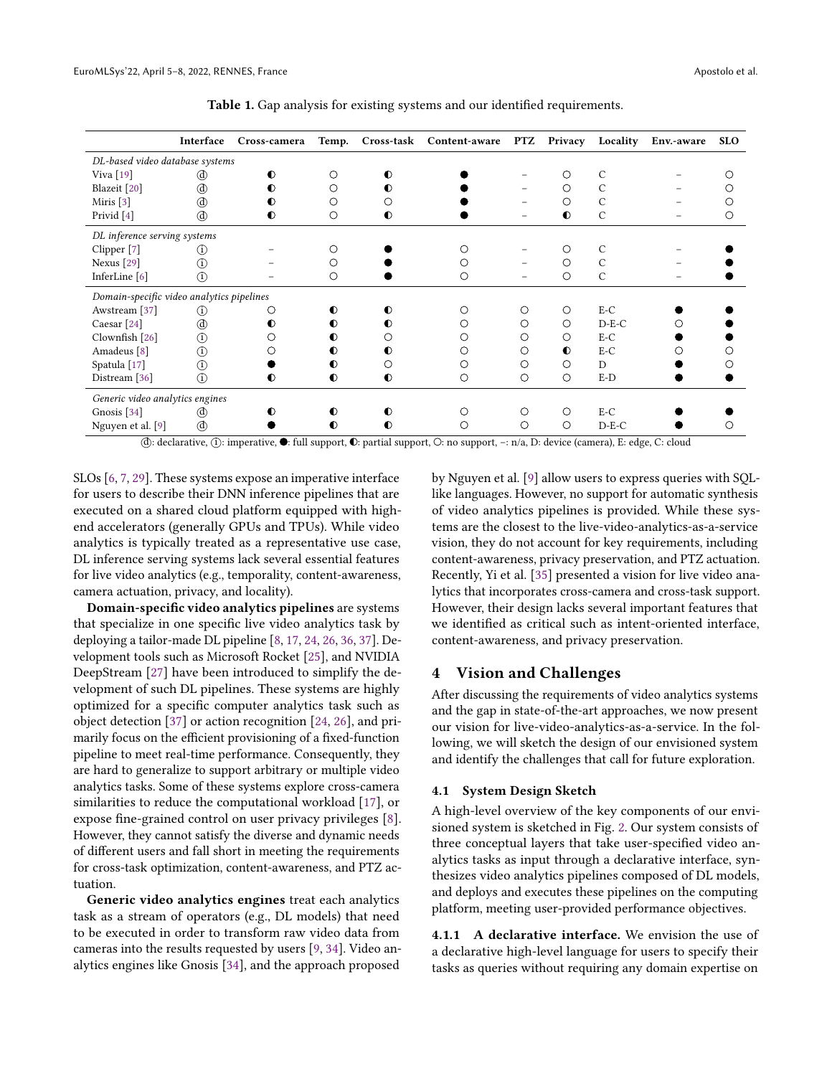<span id="page-3-1"></span>

|                                           | Interface     | Cross-camera | Temp.     |              | Cross-task Content-aware | <b>PTZ</b> | Privacy   | Locality      | Env.-aware | <b>SLO</b> |
|-------------------------------------------|---------------|--------------|-----------|--------------|--------------------------|------------|-----------|---------------|------------|------------|
| DL-based video database systems           |               |              |           |              |                          |            |           |               |            |            |
| Viva $[19]$                               | (d)           | $\bullet$    |           |              |                          |            |           | C             |            |            |
| Blazeit [20]                              |               | $\bullet$    |           |              |                          |            | О         | C             |            |            |
| Miris <sup>[3]</sup>                      |               | O            |           |              |                          |            | ◯         | C             |            |            |
| Privid <sup>[4]</sup>                     | <b>(d)</b>    | $\bullet$    | Ο         | ∩            |                          |            | $\bullet$ | $\mathcal{C}$ |            |            |
| DL inference serving systems              |               |              |           |              |                          |            |           |               |            |            |
| Clipper [7]                               | (i)           |              |           |              |                          |            |           | C             |            |            |
| Nexus <sup>[29]</sup>                     | $\circled{r}$ |              |           |              | Ω                        |            | O         | C             |            |            |
| InferLine [6]                             | $\circ$       |              | О         |              | $\circ$                  |            | $\circ$   | C             |            |            |
| Domain-specific video analytics pipelines |               |              |           |              |                          |            |           |               |            |            |
| Awstream <sup>[37]</sup>                  | (i)           | О            | $\bullet$ | $_{\bullet}$ |                          | Ο          | $\circ$   | $E-C$         |            |            |
| Caesar <sup>[24]</sup>                    |               | ∩            | 0         |              | ( )                      |            | $\circ$   | $D-E-C$       |            |            |
| Clownfish [26]                            | ⊙             |              | O         |              | O                        | O          | ∩         | $E-C$         |            |            |
| Amadeus <sup>[8]</sup>                    | $^{\circ}$    |              | O         |              | ∩                        | Ω          | $\bullet$ | $E-C$         |            |            |
| Spatula <sup>[17]</sup>                   | $\circled{r}$ |              | ◐         | Ω            | Ω                        | ∩          | O         | D             |            |            |
| Distream [36]                             | $\circ$       | $\bullet$    | $\bullet$ | $\bullet$    | О                        | O          | $\circ$   | E-D           |            |            |
| Generic video analytics engines           |               |              |           |              |                          |            |           |               |            |            |
| Gnosis <sup>[34]</sup>                    |               |              | ∩         |              |                          | Ω          | $\circ$   | $E-C$         |            |            |
| Nguyen et al. [9]                         |               |              | $\bullet$ | O)           | ∩                        | ∩          | $\circ$   | $D-E-C$       |            |            |

Table 1. Gap analysis for existing systems and our identified requirements.

○d : declarative, ○i : imperative, : full support, : partial support, : no support, –: n/a, D: device (camera), E: edge, C: cloud

SLOs [\[6,](#page-6-3) [7,](#page-6-20) [29\]](#page-6-5). These systems expose an imperative interface for users to describe their DNN inference pipelines that are executed on a shared cloud platform equipped with highend accelerators (generally GPUs and TPUs). While video analytics is typically treated as a representative use case, DL inference serving systems lack several essential features for live video analytics (e.g., temporality, content-awareness, camera actuation, privacy, and locality).

Domain-specific video analytics pipelines are systems that specialize in one specific live video analytics task by deploying a tailor-made DL pipeline [\[8,](#page-6-21) [17,](#page-6-14) [24,](#page-6-15) [26,](#page-6-8) [36,](#page-7-9) [37\]](#page-7-6). Development tools such as Microsoft Rocket [\[25\]](#page-6-23), and NVIDIA DeepStream [\[27\]](#page-6-24) have been introduced to simplify the development of such DL pipelines. These systems are highly optimized for a specific computer analytics task such as object detection [\[37\]](#page-7-6) or action recognition [\[24,](#page-6-15) [26\]](#page-6-8), and primarily focus on the efficient provisioning of a fixed-function pipeline to meet real-time performance. Consequently, they are hard to generalize to support arbitrary or multiple video analytics tasks. Some of these systems explore cross-camera similarities to reduce the computational workload [\[17\]](#page-6-14), or expose fine-grained control on user privacy privileges [\[8\]](#page-6-21). However, they cannot satisfy the diverse and dynamic needs of different users and fall short in meeting the requirements for cross-task optimization, content-awareness, and PTZ actuation.

Generic video analytics engines treat each analytics task as a stream of operators (e.g., DL models) that need to be executed in order to transform raw video data from cameras into the results requested by users [\[9,](#page-6-22) [34\]](#page-7-5). Video analytics engines like Gnosis [\[34\]](#page-7-5), and the approach proposed

by Nguyen et al. [\[9\]](#page-6-22) allow users to express queries with SQLlike languages. However, no support for automatic synthesis of video analytics pipelines is provided. While these systems are the closest to the live-video-analytics-as-a-service vision, they do not account for key requirements, including content-awareness, privacy preservation, and PTZ actuation. Recently, Yi et al. [\[35\]](#page-7-4) presented a vision for live video analytics that incorporates cross-camera and cross-task support. However, their design lacks several important features that we identified as critical such as intent-oriented interface, content-awareness, and privacy preservation.

# <span id="page-3-0"></span>4 Vision and Challenges

After discussing the requirements of video analytics systems and the gap in state-of-the-art approaches, we now present our vision for live-video-analytics-as-a-service. In the following, we will sketch the design of our envisioned system and identify the challenges that call for future exploration.

### 4.1 System Design Sketch

A high-level overview of the key components of our envisioned system is sketched in Fig. [2.](#page-4-0) Our system consists of three conceptual layers that take user-specified video analytics tasks as input through a declarative interface, synthesizes video analytics pipelines composed of DL models, and deploys and executes these pipelines on the computing platform, meeting user-provided performance objectives.

4.1.1 A declarative interface. We envision the use of a declarative high-level language for users to specify their tasks as queries without requiring any domain expertise on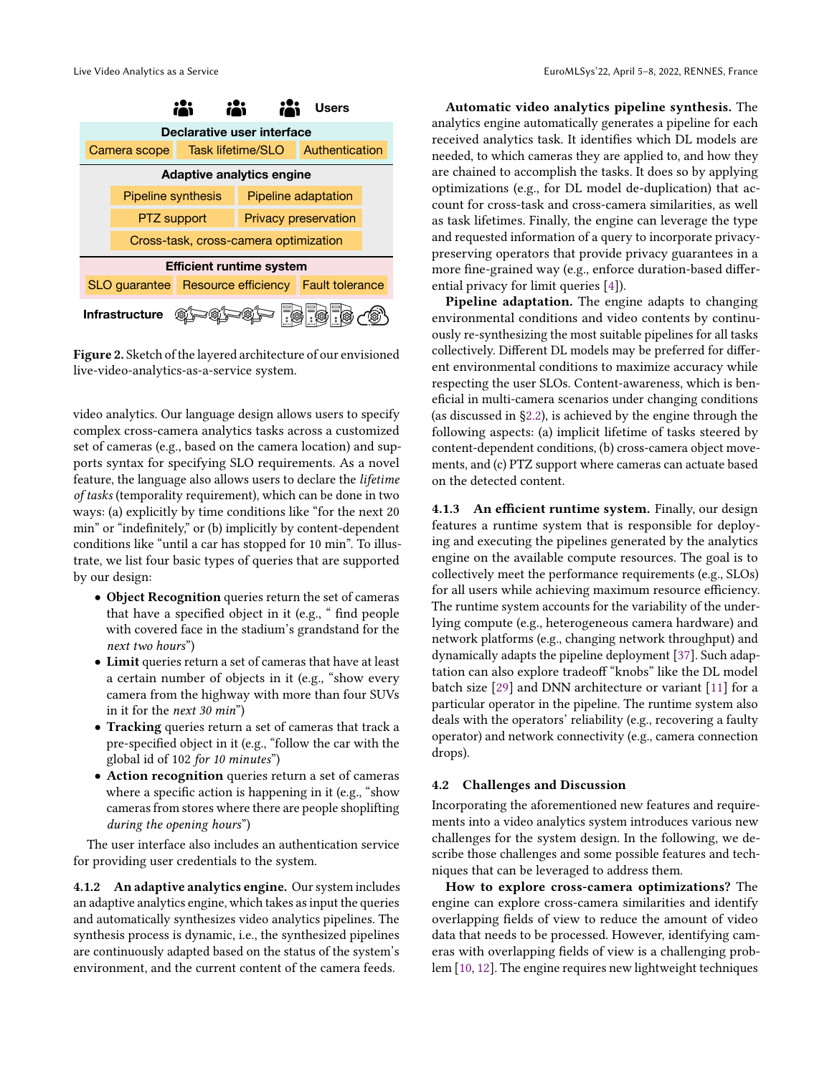<span id="page-4-0"></span>

Figure 2. Sketch of the layered architecture of our envisioned live-video-analytics-as-a-service system.

video analytics. Our language design allows users to specify complex cross-camera analytics tasks across a customized set of cameras (e.g., based on the camera location) and supports syntax for specifying SLO requirements. As a novel feature, the language also allows users to declare the lifetime of tasks (temporality requirement), which can be done in two ways: (a) explicitly by time conditions like "for the next 20 min" or "indefinitely," or (b) implicitly by content-dependent conditions like "until a car has stopped for 10 min". To illustrate, we list four basic types of queries that are supported by our design:

- Object Recognition queries return the set of cameras that have a specified object in it (e.g., " find people with covered face in the stadium's grandstand for the next two hours")
- Limit queries return a set of cameras that have at least a certain number of objects in it (e.g., "show every camera from the highway with more than four SUVs in it for the next 30 min")
- Tracking queries return a set of cameras that track a pre-specified object in it (e.g., "follow the car with the global id of 102 for 10 minutes")
- Action recognition queries return a set of cameras where a specific action is happening in it (e.g., "show cameras from stores where there are people shoplifting during the opening hours")

The user interface also includes an authentication service for providing user credentials to the system.

4.1.2 An adaptive analytics engine. Our system includes an adaptive analytics engine, which takes as input the queries and automatically synthesizes video analytics pipelines. The synthesis process is dynamic, i.e., the synthesized pipelines are continuously adapted based on the status of the system's environment, and the current content of the camera feeds.

Automatic video analytics pipeline synthesis. The analytics engine automatically generates a pipeline for each received analytics task. It identifies which DL models are needed, to which cameras they are applied to, and how they are chained to accomplish the tasks. It does so by applying optimizations (e.g., for DL model de-duplication) that account for cross-task and cross-camera similarities, as well as task lifetimes. Finally, the engine can leverage the type and requested information of a query to incorporate privacypreserving operators that provide privacy guarantees in a more fine-grained way (e.g., enforce duration-based differential privacy for limit queries [\[4\]](#page-6-9)).

**From the system**<br> **From the system**<br> **From the system**<br> **From the system**<br> **From the system**<br> **From the system adapts to changing<br>
<b>From the system adapts**<br> **From the system adapts**<br> **From the system conductions**<br> **From t Figure 10** ential privacy for limit queries [4]).<br> **Figure adoptation.** The engine adopts to changing<br> **Figure 20 Phieline adoption**<br> **Figure 20 CO**<br> **Example adoption and video contents by continuously re-synthesizi** Pipeline adaptation. The engine adapts to changing environmental conditions and video contents by continuously re-synthesizing the most suitable pipelines for all tasks collectively. Different DL models may be preferred for different environmental conditions to maximize accuracy while respecting the user SLOs. Content-awareness, which is beneficial in multi-camera scenarios under changing conditions (as discussed in [§2.2\)](#page-1-1), is achieved by the engine through the following aspects: (a) implicit lifetime of tasks steered by content-dependent conditions, (b) cross-camera object movements, and (c) PTZ support where cameras can actuate based on the detected content.

4.1.3 An efficient runtime system. Finally, our design features a runtime system that is responsible for deploying and executing the pipelines generated by the analytics engine on the available compute resources. The goal is to collectively meet the performance requirements (e.g., SLOs) for all users while achieving maximum resource efficiency. The runtime system accounts for the variability of the underlying compute (e.g., heterogeneous camera hardware) and network platforms (e.g., changing network throughput) and dynamically adapts the pipeline deployment [\[37\]](#page-7-6). Such adaptation can also explore tradeoff "knobs" like the DL model batch size [\[29\]](#page-6-5) and DNN architecture or variant [\[11\]](#page-6-25) for a particular operator in the pipeline. The runtime system also deals with the operators' reliability (e.g., recovering a faulty operator) and network connectivity (e.g., camera connection drops).

### 4.2 Challenges and Discussion

Incorporating the aforementioned new features and requirements into a video analytics system introduces various new challenges for the system design. In the following, we describe those challenges and some possible features and techniques that can be leveraged to address them.

How to explore cross-camera optimizations? The engine can explore cross-camera similarities and identify overlapping fields of view to reduce the amount of video data that needs to be processed. However, identifying cameras with overlapping fields of view is a challenging problem [\[10,](#page-6-26) [12\]](#page-6-27). The engine requires new lightweight techniques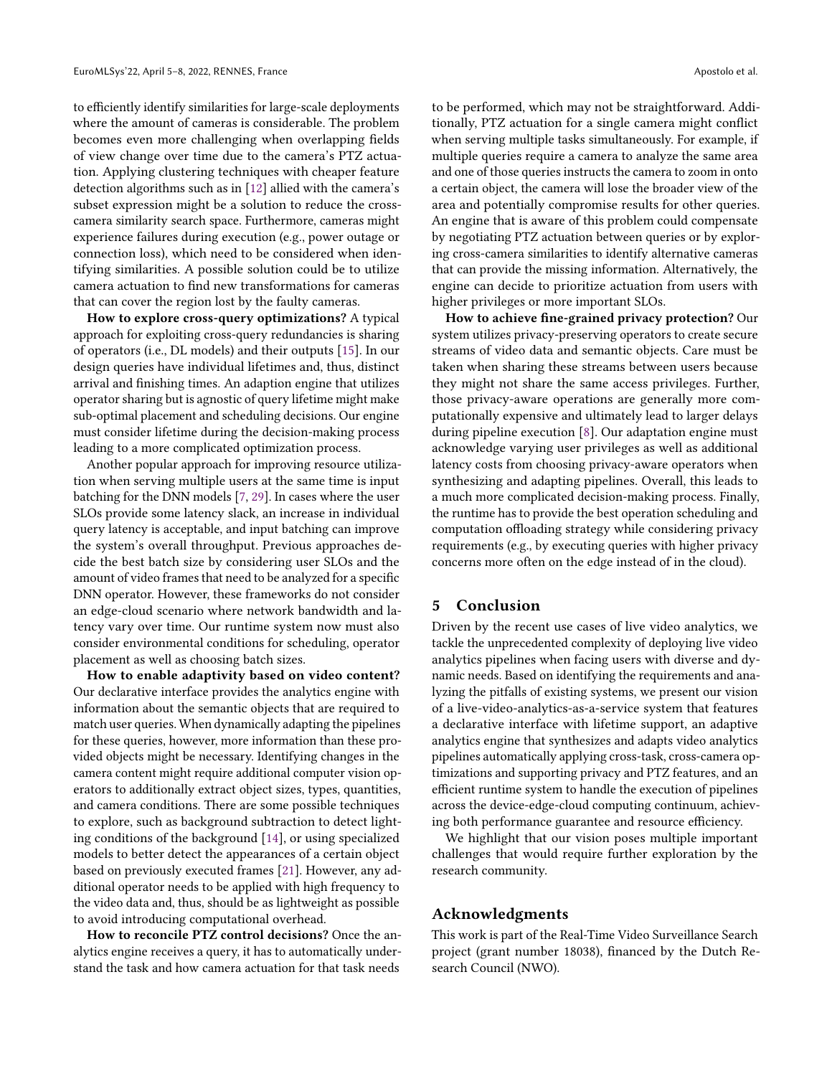to efficiently identify similarities for large-scale deployments where the amount of cameras is considerable. The problem becomes even more challenging when overlapping fields of view change over time due to the camera's PTZ actuation. Applying clustering techniques with cheaper feature detection algorithms such as in [\[12\]](#page-6-27) allied with the camera's subset expression might be a solution to reduce the crosscamera similarity search space. Furthermore, cameras might experience failures during execution (e.g., power outage or connection loss), which need to be considered when identifying similarities. A possible solution could be to utilize camera actuation to find new transformations for cameras that can cover the region lost by the faulty cameras.

How to explore cross-query optimizations? A typical approach for exploiting cross-query redundancies is sharing of operators (i.e., DL models) and their outputs [\[15\]](#page-6-28). In our design queries have individual lifetimes and, thus, distinct arrival and finishing times. An adaption engine that utilizes operator sharing but is agnostic of query lifetime might make sub-optimal placement and scheduling decisions. Our engine must consider lifetime during the decision-making process leading to a more complicated optimization process.

Another popular approach for improving resource utilization when serving multiple users at the same time is input batching for the DNN models [\[7,](#page-6-20) [29\]](#page-6-5). In cases where the user SLOs provide some latency slack, an increase in individual query latency is acceptable, and input batching can improve the system's overall throughput. Previous approaches decide the best batch size by considering user SLOs and the amount of video frames that need to be analyzed for a specific DNN operator. However, these frameworks do not consider an edge-cloud scenario where network bandwidth and latency vary over time. Our runtime system now must also consider environmental conditions for scheduling, operator placement as well as choosing batch sizes.

How to enable adaptivity based on video content? Our declarative interface provides the analytics engine with information about the semantic objects that are required to match user queries. When dynamically adapting the pipelines for these queries, however, more information than these provided objects might be necessary. Identifying changes in the camera content might require additional computer vision operators to additionally extract object sizes, types, quantities, and camera conditions. There are some possible techniques to explore, such as background subtraction to detect lighting conditions of the background [\[14\]](#page-6-29), or using specialized models to better detect the appearances of a certain object based on previously executed frames [\[21\]](#page-6-19). However, any additional operator needs to be applied with high frequency to the video data and, thus, should be as lightweight as possible to avoid introducing computational overhead.

How to reconcile PTZ control decisions? Once the analytics engine receives a query, it has to automatically understand the task and how camera actuation for that task needs

to be performed, which may not be straightforward. Additionally, PTZ actuation for a single camera might conflict when serving multiple tasks simultaneously. For example, if multiple queries require a camera to analyze the same area and one of those queries instructs the camera to zoom in onto a certain object, the camera will lose the broader view of the area and potentially compromise results for other queries. An engine that is aware of this problem could compensate by negotiating PTZ actuation between queries or by exploring cross-camera similarities to identify alternative cameras that can provide the missing information. Alternatively, the engine can decide to prioritize actuation from users with higher privileges or more important SLOs.

How to achieve fine-grained privacy protection? Our system utilizes privacy-preserving operators to create secure streams of video data and semantic objects. Care must be taken when sharing these streams between users because they might not share the same access privileges. Further, those privacy-aware operations are generally more computationally expensive and ultimately lead to larger delays during pipeline execution [\[8\]](#page-6-21). Our adaptation engine must acknowledge varying user privileges as well as additional latency costs from choosing privacy-aware operators when synthesizing and adapting pipelines. Overall, this leads to a much more complicated decision-making process. Finally, the runtime has to provide the best operation scheduling and computation offloading strategy while considering privacy requirements (e.g., by executing queries with higher privacy concerns more often on the edge instead of in the cloud).

### 5 Conclusion

Driven by the recent use cases of live video analytics, we tackle the unprecedented complexity of deploying live video analytics pipelines when facing users with diverse and dynamic needs. Based on identifying the requirements and analyzing the pitfalls of existing systems, we present our vision of a live-video-analytics-as-a-service system that features a declarative interface with lifetime support, an adaptive analytics engine that synthesizes and adapts video analytics pipelines automatically applying cross-task, cross-camera optimizations and supporting privacy and PTZ features, and an efficient runtime system to handle the execution of pipelines across the device-edge-cloud computing continuum, achieving both performance guarantee and resource efficiency.

We highlight that our vision poses multiple important challenges that would require further exploration by the research community.

# Acknowledgments

This work is part of the Real-Time Video Surveillance Search project (grant number 18038), financed by the Dutch Research Council (NWO).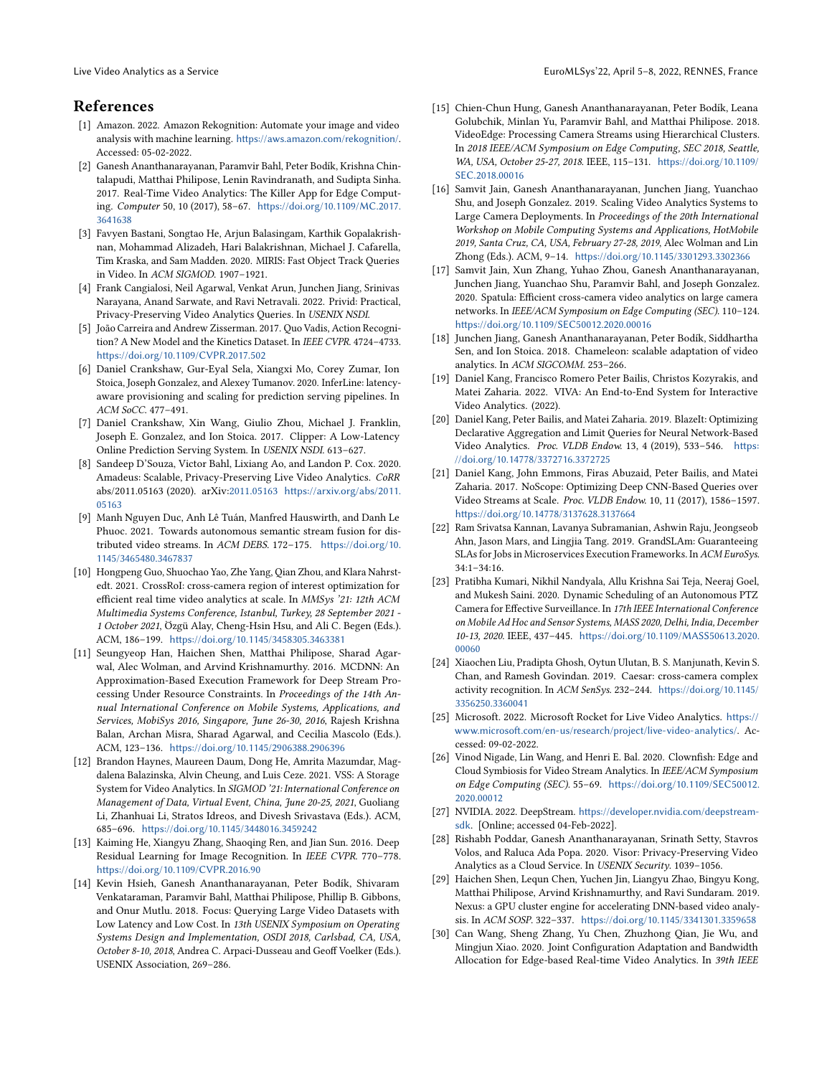# References

- <span id="page-6-16"></span>[1] Amazon. 2022. Amazon Rekognition: Automate your image and video analysis with machine learning. <https://aws.amazon.com/rekognition/>. Accessed: 05-02-2022.
- <span id="page-6-6"></span>[2] Ganesh Ananthanarayanan, Paramvir Bahl, Peter Bodík, Krishna Chintalapudi, Matthai Philipose, Lenin Ravindranath, and Sudipta Sinha. 2017. Real-Time Video Analytics: The Killer App for Edge Computing. Computer 50, 10 (2017), 58–67. [https://doi.org/10.1109/MC.2017.](https://doi.org/10.1109/MC.2017.3641638) [3641638](https://doi.org/10.1109/MC.2017.3641638)
- <span id="page-6-13"></span>[3] Favyen Bastani, Songtao He, Arjun Balasingam, Karthik Gopalakrishnan, Mohammad Alizadeh, Hari Balakrishnan, Michael J. Cafarella, Tim Kraska, and Sam Madden. 2020. MIRIS: Fast Object Track Queries in Video. In ACM SIGMOD. 1907–1921.
- <span id="page-6-9"></span>[4] Frank Cangialosi, Neil Agarwal, Venkat Arun, Junchen Jiang, Srinivas Narayana, Anand Sarwate, and Ravi Netravali. 2022. Privid: Practical, Privacy-Preserving Video Analytics Queries. In USENIX NSDI.
- <span id="page-6-1"></span>[5] João Carreira and Andrew Zisserman. 2017. Quo Vadis, Action Recognition? A New Model and the Kinetics Dataset. In IEEE CVPR. 4724–4733. <https://doi.org/10.1109/CVPR.2017.502>
- <span id="page-6-3"></span>[6] Daniel Crankshaw, Gur-Eyal Sela, Xiangxi Mo, Corey Zumar, Ion Stoica, Joseph Gonzalez, and Alexey Tumanov. 2020. InferLine: latencyaware provisioning and scaling for prediction serving pipelines. In ACM SoCC. 477–491.
- <span id="page-6-20"></span>[7] Daniel Crankshaw, Xin Wang, Giulio Zhou, Michael J. Franklin, Joseph E. Gonzalez, and Ion Stoica. 2017. Clipper: A Low-Latency Online Prediction Serving System. In USENIX NSDI. 613–627.
- <span id="page-6-21"></span>[8] Sandeep D'Souza, Victor Bahl, Lixiang Ao, and Landon P. Cox. 2020. Amadeus: Scalable, Privacy-Preserving Live Video Analytics. CoRR abs/2011.05163 (2020). arXiv[:2011.05163](https://arxiv.org/abs/2011.05163) [https://arxiv.org/abs/2011.](https://arxiv.org/abs/2011.05163) [05163](https://arxiv.org/abs/2011.05163)
- <span id="page-6-22"></span>[9] Manh Nguyen Duc, Anh Lê Tuán, Manfred Hauswirth, and Danh Le Phuoc. 2021. Towards autonomous semantic stream fusion for distributed video streams. In ACM DEBS. 172-175. [https://doi.org/10.](https://doi.org/10.1145/3465480.3467837) [1145/3465480.3467837](https://doi.org/10.1145/3465480.3467837)
- <span id="page-6-26"></span>[10] Hongpeng Guo, Shuochao Yao, Zhe Yang, Qian Zhou, and Klara Nahrstedt. 2021. CrossRoI: cross-camera region of interest optimization for efficient real time video analytics at scale. In MMSys '21: 12th ACM Multimedia Systems Conference, Istanbul, Turkey, 28 September 2021 - 1 October 2021, Özgü Alay, Cheng-Hsin Hsu, and Ali C. Begen (Eds.). ACM, 186–199. <https://doi.org/10.1145/3458305.3463381>
- <span id="page-6-25"></span>[11] Seungyeop Han, Haichen Shen, Matthai Philipose, Sharad Agarwal, Alec Wolman, and Arvind Krishnamurthy. 2016. MCDNN: An Approximation-Based Execution Framework for Deep Stream Processing Under Resource Constraints. In Proceedings of the 14th Annual International Conference on Mobile Systems, Applications, and Services, MobiSys 2016, Singapore, June 26-30, 2016, Rajesh Krishna Balan, Archan Misra, Sharad Agarwal, and Cecilia Mascolo (Eds.). ACM, 123–136. <https://doi.org/10.1145/2906388.2906396>
- <span id="page-6-27"></span>[12] Brandon Haynes, Maureen Daum, Dong He, Amrita Mazumdar, Magdalena Balazinska, Alvin Cheung, and Luis Ceze. 2021. VSS: A Storage System for Video Analytics. In SIGMOD '21: International Conference on Management of Data, Virtual Event, China, June 20-25, 2021, Guoliang Li, Zhanhuai Li, Stratos Idreos, and Divesh Srivastava (Eds.). ACM, 685–696. <https://doi.org/10.1145/3448016.3459242>
- <span id="page-6-2"></span>[13] Kaiming He, Xiangyu Zhang, Shaoqing Ren, and Jian Sun. 2016. Deep Residual Learning for Image Recognition. In IEEE CVPR. 770–778. <https://doi.org/10.1109/CVPR.2016.90>
- <span id="page-6-29"></span>[14] Kevin Hsieh, Ganesh Ananthanarayanan, Peter Bodík, Shivaram Venkataraman, Paramvir Bahl, Matthai Philipose, Phillip B. Gibbons, and Onur Mutlu. 2018. Focus: Querying Large Video Datasets with Low Latency and Low Cost. In 13th USENIX Symposium on Operating Systems Design and Implementation, OSDI 2018, Carlsbad, CA, USA, October 8-10, 2018, Andrea C. Arpaci-Dusseau and Geoff Voelker (Eds.). USENIX Association, 269–286.
- <span id="page-6-28"></span>[15] Chien-Chun Hung, Ganesh Ananthanarayanan, Peter Bodík, Leana Golubchik, Minlan Yu, Paramvir Bahl, and Matthai Philipose. 2018. VideoEdge: Processing Camera Streams using Hierarchical Clusters. In 2018 IEEE/ACM Symposium on Edge Computing, SEC 2018, Seattle, WA, USA, October 25-27, 2018. IEEE, 115–131. [https://doi.org/10.1109/](https://doi.org/10.1109/SEC.2018.00016) [SEC.2018.00016](https://doi.org/10.1109/SEC.2018.00016)
- <span id="page-6-10"></span>[16] Samvit Jain, Ganesh Ananthanarayanan, Junchen Jiang, Yuanchao Shu, and Joseph Gonzalez. 2019. Scaling Video Analytics Systems to Large Camera Deployments. In Proceedings of the 20th International Workshop on Mobile Computing Systems and Applications, HotMobile 2019, Santa Cruz, CA, USA, February 27-28, 2019, Alec Wolman and Lin Zhong (Eds.). ACM, 9–14. <https://doi.org/10.1145/3301293.3302366>
- <span id="page-6-14"></span>[17] Samvit Jain, Xun Zhang, Yuhao Zhou, Ganesh Ananthanarayanan, Junchen Jiang, Yuanchao Shu, Paramvir Bahl, and Joseph Gonzalez. 2020. Spatula: Efficient cross-camera video analytics on large camera networks. In IEEE/ACM Symposium on Edge Computing (SEC). 110–124. <https://doi.org/10.1109/SEC50012.2020.00016>
- <span id="page-6-0"></span>[18] Junchen Jiang, Ganesh Ananthanarayanan, Peter Bodík, Siddhartha Sen, and Ion Stoica. 2018. Chameleon: scalable adaptation of video analytics. In ACM SIGCOMM. 253–266.
- <span id="page-6-18"></span>[19] Daniel Kang, Francisco Romero Peter Bailis, Christos Kozyrakis, and Matei Zaharia. 2022. VIVA: An End-to-End System for Interactive Video Analytics. (2022).
- <span id="page-6-12"></span>[20] Daniel Kang, Peter Bailis, and Matei Zaharia. 2019. BlazeIt: Optimizing Declarative Aggregation and Limit Queries for Neural Network-Based Video Analytics. Proc. VLDB Endow. 13, 4 (2019), 533–546. [https:](https://doi.org/10.14778/3372716.3372725) [//doi.org/10.14778/3372716.3372725](https://doi.org/10.14778/3372716.3372725)
- <span id="page-6-19"></span>[21] Daniel Kang, John Emmons, Firas Abuzaid, Peter Bailis, and Matei Zaharia. 2017. NoScope: Optimizing Deep CNN-Based Queries over Video Streams at Scale. Proc. VLDB Endow. 10, 11 (2017), 1586–1597. <https://doi.org/10.14778/3137628.3137664>
- <span id="page-6-4"></span>[22] Ram Srivatsa Kannan, Lavanya Subramanian, Ashwin Raju, Jeongseob Ahn, Jason Mars, and Lingjia Tang. 2019. GrandSLAm: Guaranteeing SLAs for Jobs in Microservices Execution Frameworks. In ACM EuroSys. 34:1–34:16.
- <span id="page-6-17"></span>[23] Pratibha Kumari, Nikhil Nandyala, Allu Krishna Sai Teja, Neeraj Goel, and Mukesh Saini. 2020. Dynamic Scheduling of an Autonomous PTZ Camera for Effective Surveillance. In 17th IEEE International Conference on Mobile Ad Hoc and Sensor Systems, MASS 2020, Delhi, India, December 10-13, 2020. IEEE, 437–445. [https://doi.org/10.1109/MASS50613.2020.](https://doi.org/10.1109/MASS50613.2020.00060) [00060](https://doi.org/10.1109/MASS50613.2020.00060)
- <span id="page-6-15"></span>[24] Xiaochen Liu, Pradipta Ghosh, Oytun Ulutan, B. S. Manjunath, Kevin S. Chan, and Ramesh Govindan. 2019. Caesar: cross-camera complex activity recognition. In ACM SenSys. 232–244. [https://doi.org/10.1145/](https://doi.org/10.1145/3356250.3360041) [3356250.3360041](https://doi.org/10.1145/3356250.3360041)
- <span id="page-6-23"></span>[25] Microsoft. 2022. Microsoft Rocket for Live Video Analytics. [https://](https://www.microsoft.com/en-us/research/project/live-video-analytics/) [www.microsoft.com/en-us/research/project/live-video-analytics/](https://www.microsoft.com/en-us/research/project/live-video-analytics/). Accessed: 09-02-2022.
- <span id="page-6-8"></span>[26] Vinod Nigade, Lin Wang, and Henri E. Bal. 2020. Clownfish: Edge and Cloud Symbiosis for Video Stream Analytics. In IEEE/ACM Symposium on Edge Computing (SEC). 55–69. [https://doi.org/10.1109/SEC50012.](https://doi.org/10.1109/SEC50012.2020.00012) [2020.00012](https://doi.org/10.1109/SEC50012.2020.00012)
- <span id="page-6-24"></span>[27] NVIDIA. 2022. DeepStream. [https://developer.nvidia.com/deepstream](https://developer.nvidia.com/deepstream-sdk)[sdk](https://developer.nvidia.com/deepstream-sdk). [Online; accessed 04-Feb-2022].
- <span id="page-6-7"></span>[28] Rishabh Poddar, Ganesh Ananthanarayanan, Srinath Setty, Stavros Volos, and Raluca Ada Popa. 2020. Visor: Privacy-Preserving Video Analytics as a Cloud Service. In USENIX Security. 1039–1056.
- <span id="page-6-5"></span>[29] Haichen Shen, Lequn Chen, Yuchen Jin, Liangyu Zhao, Bingyu Kong, Matthai Philipose, Arvind Krishnamurthy, and Ravi Sundaram. 2019. Nexus: a GPU cluster engine for accelerating DNN-based video analysis. In ACM SOSP. 322–337. <https://doi.org/10.1145/3341301.3359658>
- <span id="page-6-11"></span>[30] Can Wang, Sheng Zhang, Yu Chen, Zhuzhong Qian, Jie Wu, and Mingjun Xiao. 2020. Joint Configuration Adaptation and Bandwidth Allocation for Edge-based Real-time Video Analytics. In 39th IEEE